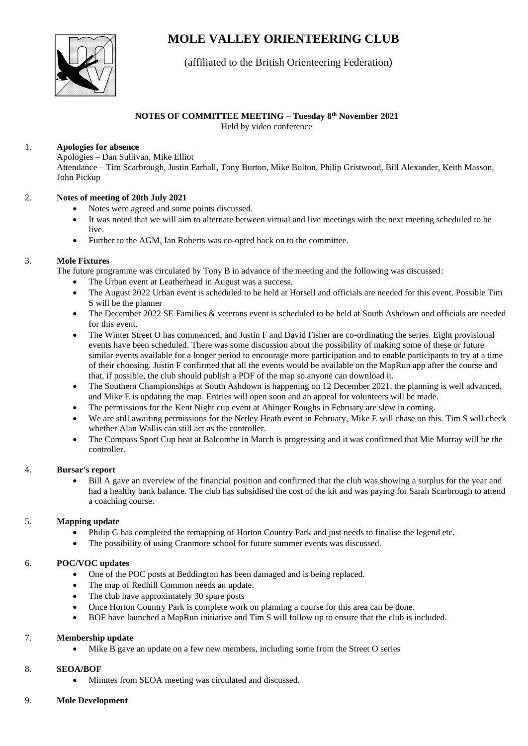# **MOLE VALLEY ORIENTEERING CLUB**



## (affiliated to the British Orienteering Federation)

## **NOTES OF COMMITTEE MEETING – Tuesday 8 th November 2021**

Held by video conference

#### 1. **Apologies for absence**

Apologies – Dan Sullivan, Mike Elliot

Attendance – Tim Scarbrough, Justin Farhall, Tony Burton, Mike Bolton, Philip Gristwood, Bill Alexander, Keith Masson, John Pickup

#### 2. **Notes of meeting of 20th July 2021**

- Notes were agreed and some points discussed.
- It was noted that we will aim to alternate between virtual and live meetings with the next meeting scheduled to be live.
- Further to the AGM, Ian Roberts was co-opted back on to the committee.

#### 3. **Mole Fixtures**

The future programme was circulated by Tony B in advance of the meeting and the following was discussed:

- The Urban event at Leatherhead in August was a success.
- The August 2022 Urban event is scheduled to be held at Horsell and officials are needed for this event. Possible Tim S will be the planner
- The December 2022 SE Families & veterans event is scheduled to be held at South Ashdown and officials are needed for this event.
- The Winter Street O has commenced, and Justin F and David Fisher are co-ordinating the series. Eight provisional events have been scheduled. There was some discussion about the possibility of making some of these or future similar events available for a longer period to encourage more participation and to enable participants to try at a time of their choosing. Justin F confirmed that all the events would be available on the MapRun app after the course and that, if possible, the club should publish a PDF of the map so anyone can download it.
- The Southern Championships at South Ashdown is happening on 12 December 2021, the planning is well advanced, and Mike E is updating the map. Entries will open soon and an appeal for volunteers will be made.
- The permissions for the Kent Night cup event at Abinger Roughs in February are slow in coming.
- We are still awaiting permissions for the Netley Heath event in February, Mike E will chase on this. Tim S will check whether Alan Wallis can still act as the controller.
- The Compass Sport Cup heat at Balcombe in March is progressing and it was confirmed that Mie Murray will be the controller.

## 4. **Bursar's report**

• Bill A gave an overview of the financial position and confirmed that the club was showing a surplus for the year and had a healthy bank balance. The club has subsidised the cost of the kit and was paying for Sarah Scarbrough to attend a coaching course.

## 5. **Mapping update**

- Philip G has completed the remapping of Horton Country Park and just needs to finalise the legend etc.
- The possibility of using Cranmore school for future summer events was discussed.

## 6. **POC/VOC updates**

- One of the POC posts at Beddington has been damaged and is being replaced.
- The map of Redhill Common needs an update.
- The club have approximately 30 spare posts
- Once Horton Country Park is complete work on planning a course for this area can be done.
- BOF have launched a MapRun initiative and Tim S will follow up to ensure that the club is included.

#### 7. **Membership update**

• Mike B gave an update on a few new members, including some from the Street O series

## 8. **SEOA/BOF**

- Minutes from SEOA meeting was circulated and discussed.
- 9. **Mole Development**